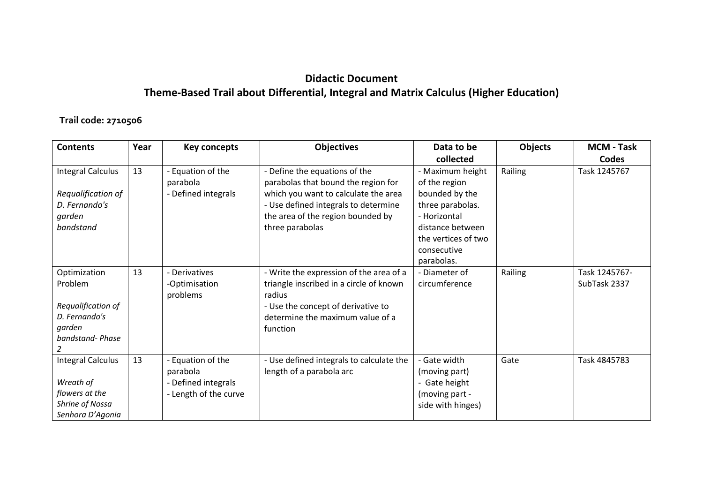## **Didactic Document Theme-Based Trail about Differential, Integral and Matrix Calculus (Higher Education)**

## **Trail code: 2710506**

| <b>Contents</b>          | Year | <b>Key concepts</b>   | <b>Objectives</b>                        | Data to be          | Objects | <b>MCM - Task</b> |
|--------------------------|------|-----------------------|------------------------------------------|---------------------|---------|-------------------|
|                          |      |                       |                                          | collected           |         | <b>Codes</b>      |
| <b>Integral Calculus</b> | 13   | - Equation of the     | - Define the equations of the            | - Maximum height    | Railing | Task 1245767      |
|                          |      | parabola              | parabolas that bound the region for      | of the region       |         |                   |
| Requalification of       |      | - Defined integrals   | which you want to calculate the area     | bounded by the      |         |                   |
| D. Fernando's            |      |                       | - Use defined integrals to determine     | three parabolas.    |         |                   |
| garden                   |      |                       | the area of the region bounded by        | - Horizontal        |         |                   |
| bandstand                |      |                       | three parabolas                          | distance between    |         |                   |
|                          |      |                       |                                          | the vertices of two |         |                   |
|                          |      |                       |                                          | consecutive         |         |                   |
|                          |      |                       |                                          | parabolas.          |         |                   |
| Optimization             | 13   | Derivatives           | - Write the expression of the area of a  | - Diameter of       | Railing | Task 1245767-     |
| Problem                  |      | -Optimisation         | triangle inscribed in a circle of known  | circumference       |         | SubTask 2337      |
|                          |      | problems              | radius                                   |                     |         |                   |
| Requalification of       |      |                       | - Use the concept of derivative to       |                     |         |                   |
| D. Fernando's            |      |                       | determine the maximum value of a         |                     |         |                   |
| garden                   |      |                       | function                                 |                     |         |                   |
| bandstand-Phase          |      |                       |                                          |                     |         |                   |
|                          |      |                       |                                          |                     |         |                   |
| <b>Integral Calculus</b> | 13   | Equation of the       | - Use defined integrals to calculate the | - Gate width        | Gate    | Task 4845783      |
|                          |      | parabola              | length of a parabola arc                 | (moving part)       |         |                   |
| Wreath of                |      | Defined integrals     |                                          | - Gate height       |         |                   |
| flowers at the           |      | - Length of the curve |                                          | (moving part -      |         |                   |
| Shrine of Nossa          |      |                       |                                          | side with hinges)   |         |                   |
| Senhora D'Agonia         |      |                       |                                          |                     |         |                   |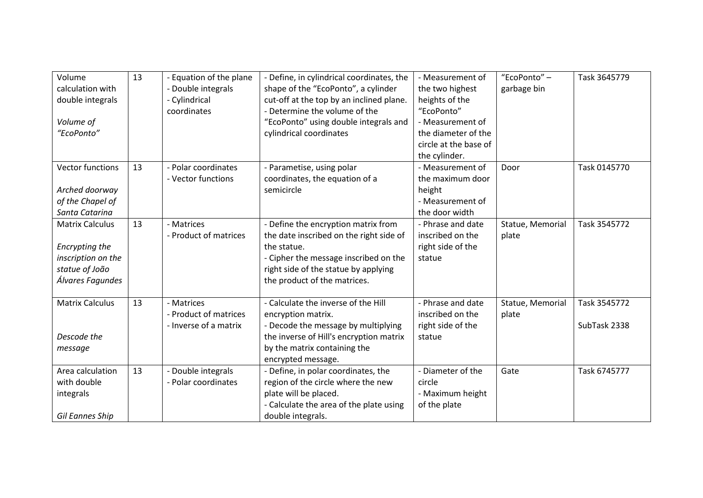| Volume                 | 13 | - Equation of the plane | - Define, in cylindrical coordinates, the | - Measurement of      | "EcoPonto" -     | Task 3645779 |
|------------------------|----|-------------------------|-------------------------------------------|-----------------------|------------------|--------------|
| calculation with       |    | - Double integrals      | shape of the "EcoPonto", a cylinder       | the two highest       | garbage bin      |              |
| double integrals       |    | - Cylindrical           | cut-off at the top by an inclined plane.  | heights of the        |                  |              |
|                        |    | coordinates             | Determine the volume of the               | "EcoPonto"            |                  |              |
| Volume of              |    |                         | "EcoPonto" using double integrals and     | - Measurement of      |                  |              |
| "EcoPonto"             |    |                         | cylindrical coordinates                   | the diameter of the   |                  |              |
|                        |    |                         |                                           | circle at the base of |                  |              |
|                        |    |                         |                                           | the cylinder.         |                  |              |
| Vector functions       | 13 | - Polar coordinates     | - Parametise, using polar                 | - Measurement of      | Door             | Task 0145770 |
|                        |    | - Vector functions      | coordinates, the equation of a            | the maximum door      |                  |              |
| Arched doorway         |    |                         | semicircle                                | height                |                  |              |
| of the Chapel of       |    |                         |                                           | - Measurement of      |                  |              |
| Santa Catarina         |    |                         |                                           | the door width        |                  |              |
| <b>Matrix Calculus</b> | 13 | - Matrices              | - Define the encryption matrix from       | - Phrase and date     | Statue, Memorial | Task 3545772 |
|                        |    | - Product of matrices   | the date inscribed on the right side of   | inscribed on the      | plate            |              |
| Encrypting the         |    |                         | the statue.                               | right side of the     |                  |              |
| inscription on the     |    |                         | - Cipher the message inscribed on the     | statue                |                  |              |
| statue of João         |    |                         | right side of the statue by applying      |                       |                  |              |
| Álvares Fagundes       |    |                         | the product of the matrices.              |                       |                  |              |
|                        |    |                         |                                           |                       |                  |              |
| <b>Matrix Calculus</b> | 13 | - Matrices              | - Calculate the inverse of the Hill       | - Phrase and date     | Statue, Memorial | Task 3545772 |
|                        |    | - Product of matrices   | encryption matrix.                        | inscribed on the      | plate            |              |
|                        |    | - Inverse of a matrix   | - Decode the message by multiplying       | right side of the     |                  | SubTask 2338 |
| Descode the            |    |                         | the inverse of Hill's encryption matrix   | statue                |                  |              |
| message                |    |                         | by the matrix containing the              |                       |                  |              |
|                        |    |                         | encrypted message.                        |                       |                  |              |
| Area calculation       | 13 | - Double integrals      | - Define, in polar coordinates, the       | - Diameter of the     | Gate             | Task 6745777 |
| with double            |    | - Polar coordinates     | region of the circle where the new        | circle                |                  |              |
| integrals              |    |                         | plate will be placed.                     | - Maximum height      |                  |              |
|                        |    |                         | - Calculate the area of the plate using   | of the plate          |                  |              |
| Gil Eannes Ship        |    |                         | double integrals.                         |                       |                  |              |